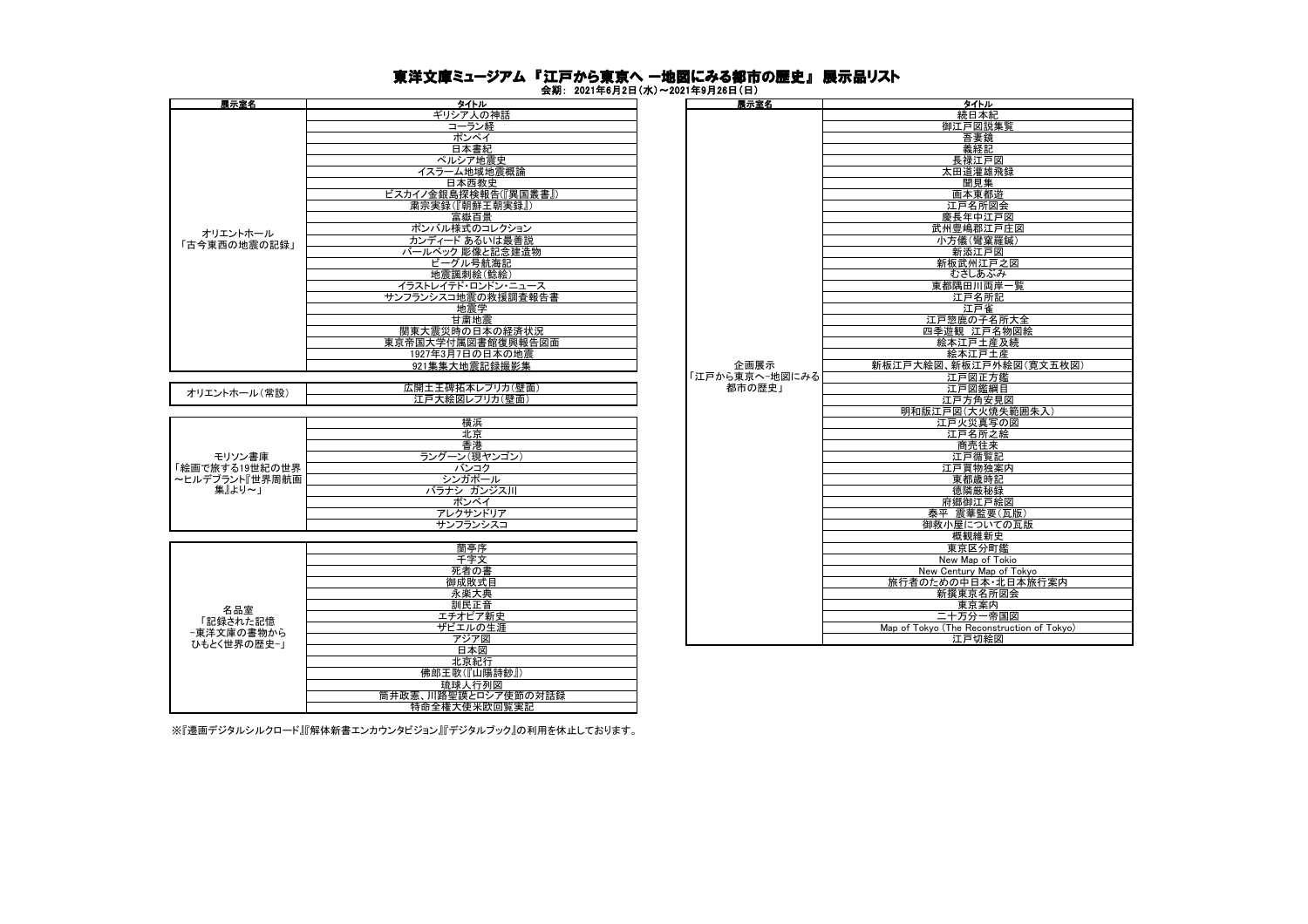## 東洋文庫ミュージアム 『江戸から東京へ ー地図にみる都市の歴史』 展示品リスト

会期: 2021年6月2日(水)~2021年9月26日(日)

| 展示室名                                                 | タイトル                 | <b>英劝, 4041구V기4日\까/ 4041구V기4V日\ロ/</b><br>展示室名 | タイトル                    |
|------------------------------------------------------|----------------------|-----------------------------------------------|-------------------------|
|                                                      | ギリシア人の神話             |                                               | 続日本紙                    |
|                                                      | コーラン経                |                                               | 御江戸図説                   |
|                                                      | ポンペイ                 |                                               | 吾妻鏡                     |
| オリエントホール<br>「古今東西の地震の記録」                             |                      |                                               |                         |
|                                                      | 日本書紀                 |                                               | 義経記                     |
|                                                      | ペルシア地震史              |                                               | 長禄江戸                    |
|                                                      | イスラーム地域地震概論          |                                               | 太田道灌雄                   |
|                                                      | 日本西教史                |                                               | 聞見集                     |
|                                                      | ビスカイノ金銀島探検報告(『異国叢書』) |                                               | 画本東都                    |
|                                                      | 粛宗実録(『朝鮮王朝実録』)       |                                               | 江戸名所                    |
|                                                      | 富嶽百景                 |                                               | 慶長年中江                   |
|                                                      | ポンバル様式のコレクション        |                                               | 武州豊嶋郡江                  |
|                                                      | カンディード あるいは最善説       |                                               | 小方儀(彎窠                  |
|                                                      | バールベック 彫像と記念建造物      |                                               | 新添江戸                    |
|                                                      | ビーグル号航海記             |                                               | 新板武州江                   |
|                                                      | 地震諷刺絵(鯰絵)            |                                               | むさしあふ                   |
|                                                      | イラストレイテド・ロンドン・ニュース   |                                               | 東都隅田川両                  |
|                                                      | サンフランシスコ地震の救援調査報告書   |                                               | 江戸名所                    |
|                                                      | 地震学                  |                                               | 江戸雀                     |
|                                                      | 甘粛地震                 |                                               | 江戸惣鹿の子4                 |
|                                                      | 関東大震災時の日本の経済状況       |                                               | 四季遊観 江戸                 |
|                                                      | 東京帝国大学付属図書館復興報告図面    |                                               | 絵本江戸土                   |
|                                                      | 1927年3月7日の日本の地震      |                                               | 絵本江戸:                   |
|                                                      | 921集集大地震記録撮影集        | 企画展示                                          | 新板江戸大絵図、新板江戸            |
|                                                      |                      | 「江戸から東京へ-地図にみる                                | 江戸図正                    |
| オリエントホール(常設)                                         | 広開土王碑拓本レプリカ(壁面)      | 都市の歴史」                                        | 江戸図鑑約                   |
|                                                      | 江戸大絵図レプリカ(壁面)        |                                               | 江戸方角安                   |
|                                                      |                      |                                               | 明和版江戸図(大火)              |
|                                                      | 横浜                   |                                               | 江戸火災真2                  |
| モリソン書庫<br>「絵画で旅する19世紀の世界<br>~ヒルデブラント『世界周航画<br>集』より~」 | 北京                   |                                               | 江戸名所                    |
|                                                      | 香港                   |                                               | 商売往                     |
|                                                      | ラングーン(現ヤンゴン)         |                                               | 江戸循覧                    |
|                                                      | バンコク                 |                                               | 江戸買物独                   |
|                                                      | シンガポール               |                                               | 東都歳時                    |
|                                                      | バラナシ ガンジス川           |                                               | 徳隣厳秘                    |
|                                                      | ボンベイ                 |                                               | 府郷御江戸                   |
|                                                      | アレクサンドリア             |                                               | 泰平 震華監                  |
|                                                      | サンフランシスコ             |                                               | 御救小屋につい                 |
|                                                      |                      |                                               | 概観維新                    |
|                                                      | 蘭亭序                  |                                               | 東京区分                    |
|                                                      | 千字文                  |                                               | New Map of              |
|                                                      | 死者の書                 |                                               | New Century Map         |
|                                                      | 御成敗式目                |                                               | 旅行者のための中日本              |
|                                                      | 永楽大典                 |                                               | 新撰東京名                   |
| 名品室                                                  | 訓民正音                 |                                               | 東京案                     |
| 「記録された記憶                                             | エチオピア新史              |                                               | 二十万分一                   |
| -東洋文庫の書物から<br>ひもとく世界の歴史-」                            | ザビエルの生涯              |                                               | Map of Tokyo (The Recon |
|                                                      | アジア図                 |                                               | 江戸切絵                    |
|                                                      | 日本図                  |                                               |                         |

| タイトル                 | 展示室名           | <b>タイトル</b>                                |
|----------------------|----------------|--------------------------------------------|
| ギリシア人の神話             |                | 続日本紀                                       |
| コーラン経                |                | 御江戸図説集覧                                    |
| ポンペイ                 |                | 吾妻鏡                                        |
| 日本書紀                 |                | 義経記                                        |
| ペルシア地震史              |                | 長禄江戸図                                      |
| イスラーム地域地震概論          |                | 太田道灌雄飛録                                    |
| 日本西教史                |                | 聞見集                                        |
| ビスカイノ金銀島探検報告(『異国叢書』) |                |                                            |
|                      |                | 画本東都遊                                      |
| 粛宗実録(『朝鮮王朝実録』)       |                | 江戸名所図会                                     |
| 富嶽百景                 |                | 慶長年中江戸図                                    |
| ポンバル様式のコレクション        |                | 武州豊嶋郡江戸庄図                                  |
| カンディード あるいは最善説       |                | 小方儀(彎窠羅鍼)                                  |
| バールベック 彫像と記念建造物      |                | 新添江戸図                                      |
| ビーグル号航海記             |                | 新板武州江戸之図                                   |
| 地震諷刺絵(鯰絵)            |                | むさしあぶみ                                     |
| イラストレイテド・ロンドン・ニュース   |                | 東都隅田川両岸一覧                                  |
| サンフランシスコ地震の救援調査報告書   |                | 江戸名所記                                      |
| 地震学                  |                | 江戸雀                                        |
| 甘粛地震                 |                | 江戸惣鹿の子名所大全                                 |
| 関東大震災時の日本の経済状況       |                | 四季遊観 江戸名物図絵                                |
| 東京帝国大学付属図書館復興報告図面    |                | 絵本江戸土産及続                                   |
| 1927年3月7日の日本の地震      |                | 絵本江戸土産                                     |
| 921集集大地震記録撮影集        | 企画展示           | 新板江戸大絵図、新板江戸外絵図(寛文五枚図)                     |
|                      | 「江戸から東京へ-地図にみる | 江戸図正方鑑                                     |
| 広開土王碑拓本レプリカ(壁面)      | 都市の歴史1         | 江戸図鑑綱目                                     |
| 江戸大絵図レプリカ(壁面)        |                | 江戸方角安見図                                    |
|                      |                | 明和版江戸図(大火焼失範囲朱入)                           |
| 横浜                   |                | 江戸火災真写の図                                   |
| 北京                   |                | 江戸名所之絵                                     |
| 香港                   |                | 商売往来                                       |
| ラングーン(現ヤンゴン)         |                | 江戸循覧記                                      |
| バンコク                 |                | 江戸買物独案内                                    |
| シンガポール               |                | 東都歳時記                                      |
| バラナシ ガンジス川           |                | 徳隣厳秘録                                      |
| ボンベイ                 |                | 府郷御江戸絵図                                    |
| アレクサンドリア             |                | 泰平 震華監要(瓦版)                                |
| サンフランシスコ             |                | 御救小屋についての瓦版                                |
|                      |                | 概観維新史                                      |
| 蘭亭序                  |                | 東京区分町鑑                                     |
| 千字文                  |                | New Map of Tokio                           |
| 死者の書                 |                | New Century Map of Tokyo                   |
| 御成敗式目                |                | 旅行者のための中日本・北日本旅行案内                         |
| 永楽大典                 |                | 新撰東京名所図会                                   |
| 訓民正音                 |                | 東京案内                                       |
| エチオピア新史              |                | 二十万分一帝国図                                   |
|                      |                |                                            |
| ザビエルの生涯              |                | Map of Tokyo (The Reconstruction of Tokyo) |
| アジア図                 |                | 江戸切絵図                                      |

※『遷画デジタルシルクロード』『解体新書エンカウンタビジョン』『デジタルブック』の利用を休止しております。

北京紀行 佛郎王歌(『山陽詩鈔』) 琉球人行列図 筒井政憲、川路聖謨とロシア使節の対話録 特命全権大使米欧回覧実記